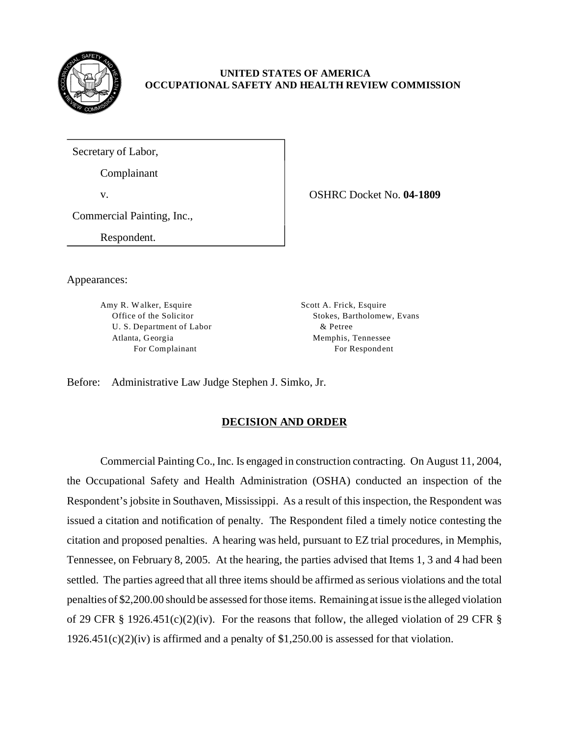

## **UNITED STATES OF AMERICA OCCUPATIONAL SAFETY AND HEALTH REVIEW COMMISSION**

Secretary of Labor,

Complainant

v. OSHRC Docket No. **04-1809** 

Commercial Painting, Inc.,

Respondent.

Appearances:

Amy R. Walker, Esquire Scott A. Frick, Esquire U. S. Department of Labor  $\&$  Petree Atlanta, Georgia and Memphis, Tennessee

Office of the Solicitor Stokes, Bartholomew, Evans For Complainant For Respondent

Before: Administrative Law Judge Stephen J. Simko, Jr.

# **DECISION AND ORDER**

Commercial Painting Co., Inc. Is engaged in construction contracting. On August 11, 2004, the Occupational Safety and Health Administration (OSHA) conducted an inspection of the Respondent's jobsite in Southaven, Mississippi. As a result of this inspection, the Respondent was issued a citation and notification of penalty. The Respondent filed a timely notice contesting the citation and proposed penalties. A hearing was held, pursuant to EZ trial procedures, in Memphis, Tennessee, on February 8, 2005. At the hearing, the parties advised that Items 1, 3 and 4 had been settled. The parties agreed that all three items should be affirmed as serious violations and the total penalties of \$2,200.00 should be assessed for those items. Remaining at issue is the alleged violation of 29 CFR § 1926.451(c)(2)(iv). For the reasons that follow, the alleged violation of 29 CFR §  $1926.451(c)(2)(iv)$  is affirmed and a penalty of \$1,250.00 is assessed for that violation.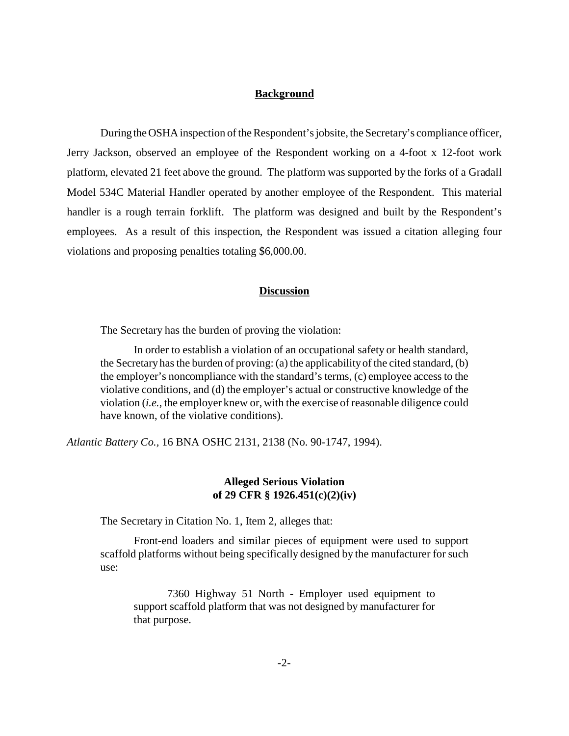### **Background**

During the OSHA inspection of the Respondent's jobsite, the Secretary's compliance officer, Jerry Jackson, observed an employee of the Respondent working on a 4-foot x 12-foot work platform, elevated 21 feet above the ground. The platform was supported by the forks of a Gradall Model 534C Material Handler operated by another employee of the Respondent. This material handler is a rough terrain forklift. The platform was designed and built by the Respondent's employees. As a result of this inspection, the Respondent was issued a citation alleging four violations and proposing penalties totaling \$6,000.00.

#### **Discussion**

The Secretary has the burden of proving the violation:

In order to establish a violation of an occupational safety or health standard, the Secretary has the burden of proving: (a) the applicability of the cited standard, (b) the employer's noncompliance with the standard's terms, (c) employee access to the violative conditions, and (d) the employer's actual or constructive knowledge of the violation (*i.e.*, the employer knew or, with the exercise of reasonable diligence could have known, of the violative conditions).

*Atlantic Battery Co.,* 16 BNA OSHC 2131, 2138 (No. 90-1747, 1994).

## **Alleged Serious Violation of 29 CFR § 1926.451(c)(2)(iv)**

The Secretary in Citation No. 1, Item 2, alleges that:

Front-end loaders and similar pieces of equipment were used to support scaffold platforms without being specifically designed by the manufacturer for such use:

7360 Highway 51 North - Employer used equipment to support scaffold platform that was not designed by manufacturer for that purpose.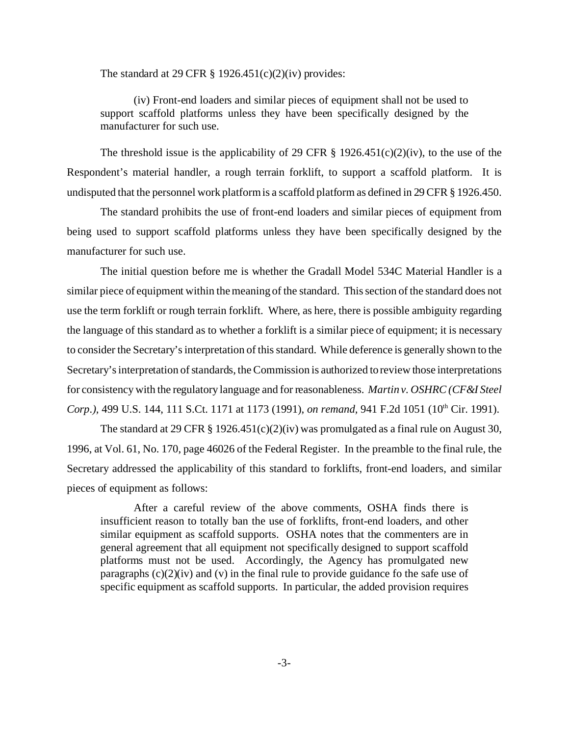The standard at 29 CFR  $\S$  1926.451(c)(2)(iv) provides:

(iv) Front-end loaders and similar pieces of equipment shall not be used to support scaffold platforms unless they have been specifically designed by the manufacturer for such use.

The threshold issue is the applicability of 29 CFR  $\S$  1926.451(c)(2)(iv), to the use of the Respondent's material handler, a rough terrain forklift, to support a scaffold platform. It is undisputed that the personnel work platform is a scaffold platform as defined in 29 CFR § 1926.450.

The standard prohibits the use of front-end loaders and similar pieces of equipment from being used to support scaffold platforms unless they have been specifically designed by the manufacturer for such use.

The initial question before me is whether the Gradall Model 534C Material Handler is a similar piece of equipment within the meaning of the standard. This section of the standard does not use the term forklift or rough terrain forklift. Where, as here, there is possible ambiguity regarding the language of this standard as to whether a forklift is a similar piece of equipment; it is necessary to consider the Secretary's interpretation of this standard. While deference is generally shown to the Secretary's interpretation of standards, the Commission is authorized to review those interpretations for consistency with the regulatory language and for reasonableness. *Martin v. OSHRC (CF&I Steel Corp.*), 499 U.S. 144, 111 S.Ct. 1171 at 1173 (1991), *on remand*, 941 F.2d 1051 (10<sup>th</sup> Cir. 1991).

The standard at 29 CFR  $\S 1926.451(c)(2)(iv)$  was promulgated as a final rule on August 30, 1996, at Vol. 61, No. 170, page 46026 of the Federal Register. In the preamble to the final rule, the Secretary addressed the applicability of this standard to forklifts, front-end loaders, and similar pieces of equipment as follows:

After a careful review of the above comments, OSHA finds there is insufficient reason to totally ban the use of forklifts, front-end loaders, and other similar equipment as scaffold supports. OSHA notes that the commenters are in general agreement that all equipment not specifically designed to support scaffold platforms must not be used. Accordingly, the Agency has promulgated new paragraphs  $(c)(2)(iv)$  and  $(v)$  in the final rule to provide guidance fo the safe use of specific equipment as scaffold supports. In particular, the added provision requires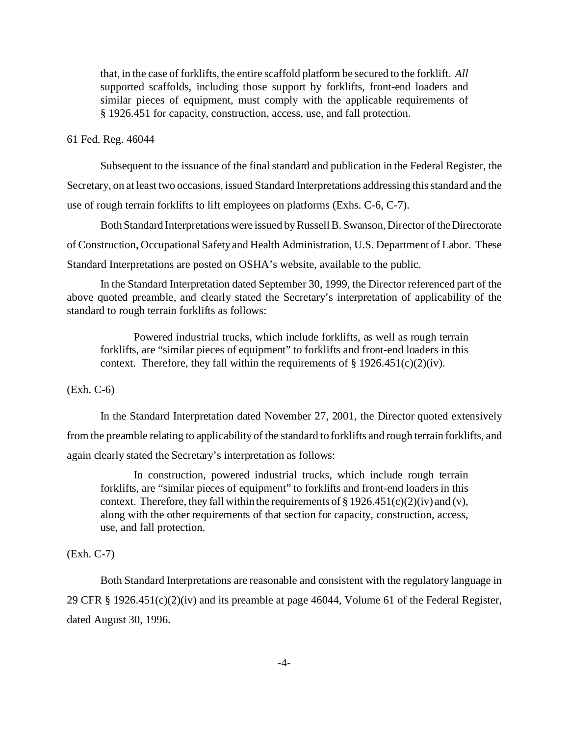that, in the case of forklifts, the entire scaffold platform be secured to the forklift. *All*  supported scaffolds, including those support by forklifts, front-end loaders and similar pieces of equipment, must comply with the applicable requirements of § 1926.451 for capacity, construction, access, use, and fall protection.

61 Fed. Reg. 46044

Subsequent to the issuance of the final standard and publication in the Federal Register, the Secretary, on at least two occasions, issued Standard Interpretations addressing this standard and the use of rough terrain forklifts to lift employees on platforms (Exhs. C-6, C-7).

Both Standard Interpretations were issued by Russell B. Swanson, Director of the Directorate of Construction, Occupational Safety and Health Administration, U.S. Department of Labor. These Standard Interpretations are posted on OSHA's website, available to the public.

In the Standard Interpretation dated September 30, 1999, the Director referenced part of the above quoted preamble, and clearly stated the Secretary's interpretation of applicability of the standard to rough terrain forklifts as follows:

Powered industrial trucks, which include forklifts, as well as rough terrain forklifts, are "similar pieces of equipment" to forklifts and front-end loaders in this context. Therefore, they fall within the requirements of  $\S$  1926.451(c)(2)(iv).

(Exh. C-6)

In the Standard Interpretation dated November 27, 2001, the Director quoted extensively from the preamble relating to applicability of the standard to forklifts and rough terrain forklifts, and again clearly stated the Secretary's interpretation as follows:

In construction, powered industrial trucks, which include rough terrain forklifts, are "similar pieces of equipment" to forklifts and front-end loaders in this context. Therefore, they fall within the requirements of  $\S 1926.451(c)(2)(iv)$  and (v), along with the other requirements of that section for capacity, construction, access, use, and fall protection.

(Exh. C-7)

Both Standard Interpretations are reasonable and consistent with the regulatory language in 29 CFR § 1926.451(c)(2)(iv) and its preamble at page 46044, Volume 61 of the Federal Register, dated August 30, 1996.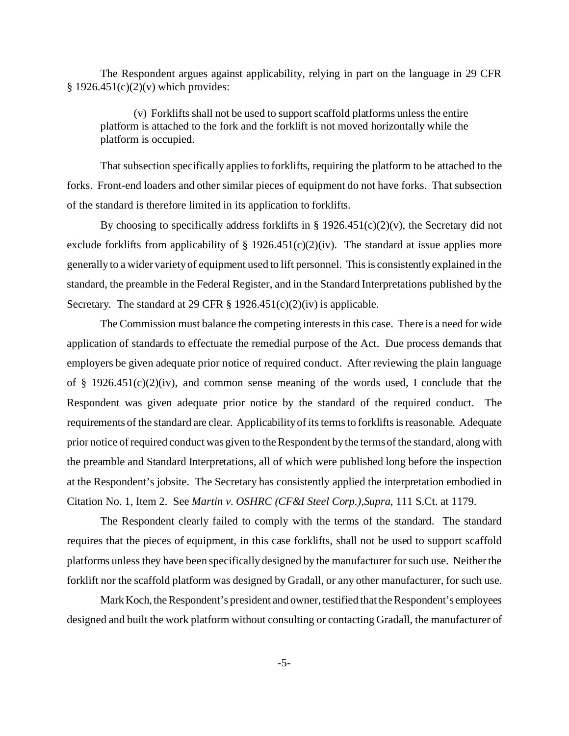The Respondent argues against applicability, relying in part on the language in 29 CFR  $§ 1926.451(c)(2)(v)$  which provides:

(v) Forklifts shall not be used to support scaffold platforms unless the entire platform is attached to the fork and the forklift is not moved horizontally while the platform is occupied.

That subsection specifically applies to forklifts, requiring the platform to be attached to the forks. Front-end loaders and other similar pieces of equipment do not have forks. That subsection of the standard is therefore limited in its application to forklifts.

By choosing to specifically address forklifts in §  $1926.451(c)(2)(v)$ , the Secretary did not exclude forklifts from applicability of  $\S$  1926.451(c)(2)(iv). The standard at issue applies more generally to a wider variety of equipment used to lift personnel. This is consistently explained in the standard, the preamble in the Federal Register, and in the Standard Interpretations published by the Secretary. The standard at 29 CFR  $\S$  1926.451(c)(2)(iv) is applicable.

The Commission must balance the competing interests in this case. There is a need for wide application of standards to effectuate the remedial purpose of the Act. Due process demands that employers be given adequate prior notice of required conduct. After reviewing the plain language of  $\S$  1926.451(c)(2)(iv), and common sense meaning of the words used, I conclude that the Respondent was given adequate prior notice by the standard of the required conduct. The requirements of the standard are clear. Applicability of its terms to forklifts is reasonable. Adequate prior notice of required conduct was given to the Respondent by the terms of the standard, along with the preamble and Standard Interpretations, all of which were published long before the inspection at the Respondent's jobsite. The Secretary has consistently applied the interpretation embodied in Citation No. 1, Item 2. See *Martin v. OSHRC (CF&I Steel Corp.),Supra*, 111 S.Ct. at 1179.

The Respondent clearly failed to comply with the terms of the standard. The standard requires that the pieces of equipment, in this case forklifts, shall not be used to support scaffold platforms unless they have been specifically designed by the manufacturer for such use. Neither the forklift nor the scaffold platform was designed by Gradall, or any other manufacturer, for such use.

Mark Koch, the Respondent's president and owner, testified that the Respondent's employees designed and built the work platform without consulting or contacting Gradall, the manufacturer of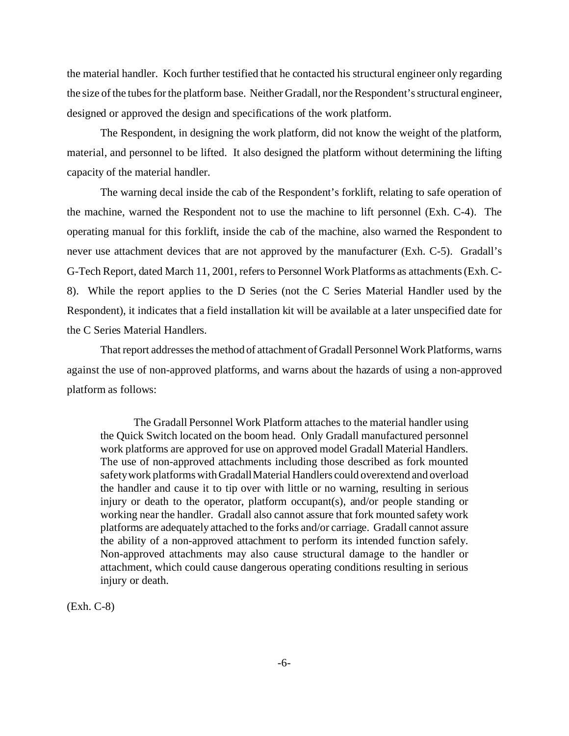the material handler. Koch further testified that he contacted his structural engineer only regarding the size of the tubes for the platform base. Neither Gradall, nor the Respondent's structural engineer, designed or approved the design and specifications of the work platform.

The Respondent, in designing the work platform, did not know the weight of the platform, material, and personnel to be lifted. It also designed the platform without determining the lifting capacity of the material handler.

The warning decal inside the cab of the Respondent's forklift, relating to safe operation of the machine, warned the Respondent not to use the machine to lift personnel (Exh. C-4). The operating manual for this forklift, inside the cab of the machine, also warned the Respondent to never use attachment devices that are not approved by the manufacturer (Exh. C-5). Gradall's G-Tech Report, dated March 11, 2001, refers to Personnel Work Platforms as attachments (Exh. C-8). While the report applies to the D Series (not the C Series Material Handler used by the Respondent), it indicates that a field installation kit will be available at a later unspecified date for the C Series Material Handlers.

That report addresses the method of attachment of Gradall Personnel Work Platforms, warns against the use of non-approved platforms, and warns about the hazards of using a non-approved platform as follows:

The Gradall Personnel Work Platform attaches to the material handler using the Quick Switch located on the boom head. Only Gradall manufactured personnel work platforms are approved for use on approved model Gradall Material Handlers. The use of non-approved attachments including those described as fork mounted safety work platforms with Gradall Material Handlers could overextend and overload the handler and cause it to tip over with little or no warning, resulting in serious injury or death to the operator, platform occupant(s), and/or people standing or working near the handler. Gradall also cannot assure that fork mounted safety work platforms are adequately attached to the forks and/or carriage. Gradall cannot assure the ability of a non-approved attachment to perform its intended function safely. Non-approved attachments may also cause structural damage to the handler or attachment, which could cause dangerous operating conditions resulting in serious injury or death.

(Exh. C-8)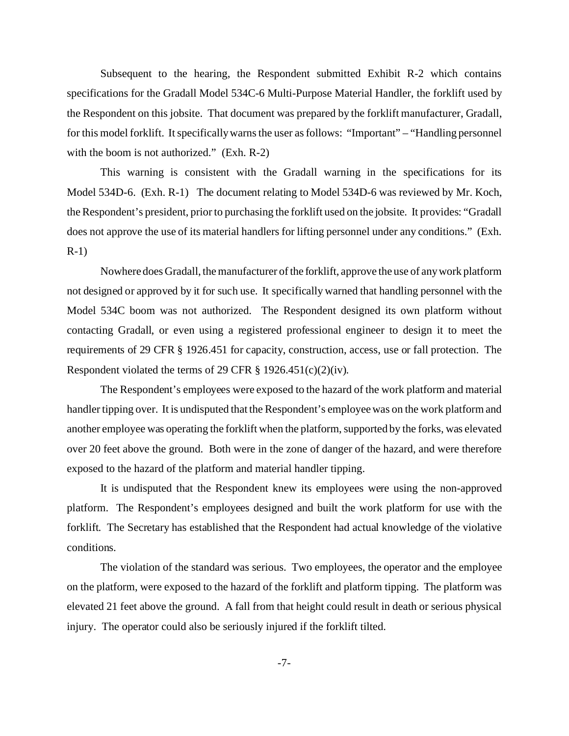Subsequent to the hearing, the Respondent submitted Exhibit R-2 which contains specifications for the Gradall Model 534C-6 Multi-Purpose Material Handler, the forklift used by the Respondent on this jobsite. That document was prepared by the forklift manufacturer, Gradall, for this model forklift. It specifically warns the user as follows: "Important" – "Handling personnel with the boom is not authorized." (Exh. R-2)

This warning is consistent with the Gradall warning in the specifications for its Model 534D-6. (Exh. R-1) The document relating to Model 534D-6 was reviewed by Mr. Koch, the Respondent's president, prior to purchasing the forklift used on the jobsite. It provides: "Gradall does not approve the use of its material handlers for lifting personnel under any conditions." (Exh. R-1)

Nowhere does Gradall, the manufacturer of the forklift, approve the use of any work platform not designed or approved by it for such use. It specifically warned that handling personnel with the Model 534C boom was not authorized. The Respondent designed its own platform without contacting Gradall, or even using a registered professional engineer to design it to meet the requirements of 29 CFR § 1926.451 for capacity, construction, access, use or fall protection. The Respondent violated the terms of 29 CFR  $\S$  1926.451(c)(2)(iv).

The Respondent's employees were exposed to the hazard of the work platform and material handler tipping over. It is undisputed that the Respondent's employee was on the work platform and another employee was operating the forklift when the platform, supported by the forks, was elevated over 20 feet above the ground. Both were in the zone of danger of the hazard, and were therefore exposed to the hazard of the platform and material handler tipping.

It is undisputed that the Respondent knew its employees were using the non-approved platform. The Respondent's employees designed and built the work platform for use with the forklift. The Secretary has established that the Respondent had actual knowledge of the violative conditions.

The violation of the standard was serious. Two employees, the operator and the employee on the platform, were exposed to the hazard of the forklift and platform tipping. The platform was elevated 21 feet above the ground. A fall from that height could result in death or serious physical injury. The operator could also be seriously injured if the forklift tilted.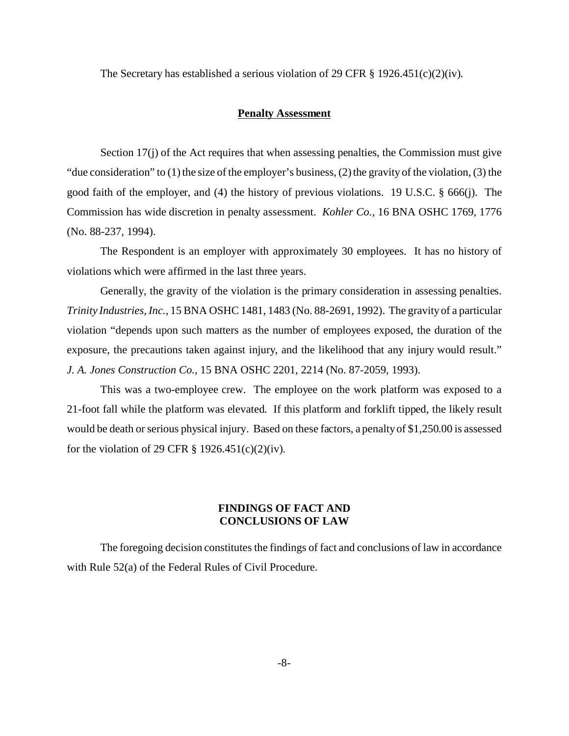The Secretary has established a serious violation of 29 CFR  $\S$  1926.451(c)(2)(iv).

#### **Penalty Assessment**

Section 17(j) of the Act requires that when assessing penalties, the Commission must give "due consideration" to (1) the size of the employer's business, (2) the gravity of the violation, (3) the good faith of the employer, and (4) the history of previous violations. 19 U.S.C. § 666(j). The Commission has wide discretion in penalty assessment. *Kohler Co.,* 16 BNA OSHC 1769, 1776 (No. 88-237, 1994).

The Respondent is an employer with approximately 30 employees. It has no history of violations which were affirmed in the last three years.

Generally, the gravity of the violation is the primary consideration in assessing penalties. *Trinity Industries, Inc.,* 15 BNA OSHC 1481, 1483 (No. 88-2691, 1992). The gravity of a particular violation "depends upon such matters as the number of employees exposed, the duration of the exposure, the precautions taken against injury, and the likelihood that any injury would result." *J. A. Jones Construction Co.,* 15 BNA OSHC 2201, 2214 (No. 87-2059, 1993).

This was a two-employee crew. The employee on the work platform was exposed to a 21-foot fall while the platform was elevated. If this platform and forklift tipped, the likely result would be death or serious physical injury. Based on these factors, a penalty of \$1,250.00 is assessed for the violation of 29 CFR  $\S 1926.451(c)(2)(iv)$ .

# **FINDINGS OF FACT AND CONCLUSIONS OF LAW**

The foregoing decision constitutes the findings of fact and conclusions of law in accordance with Rule 52(a) of the Federal Rules of Civil Procedure.